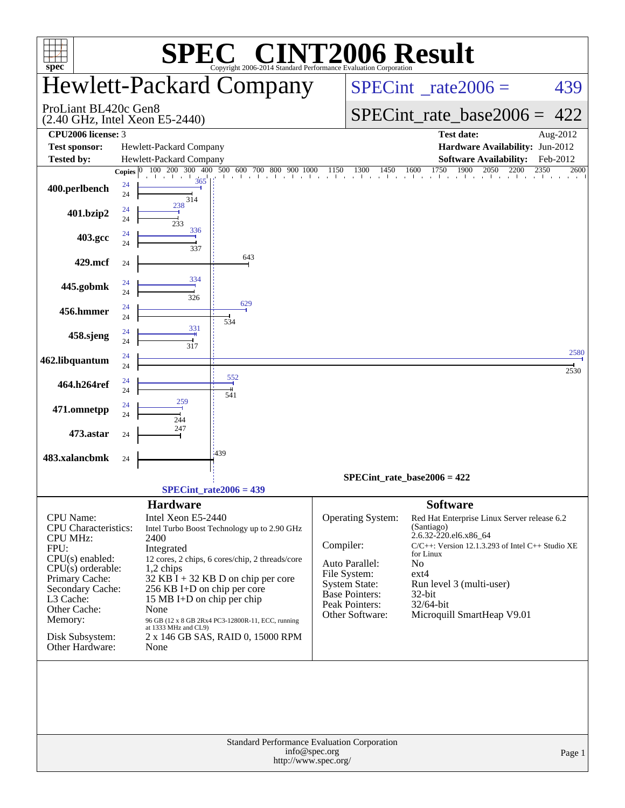| spec®                                                                                                                                                                                                                             |                                                  | $\mathbf{I}^{\bullet}$<br>Copyright 2006-2014 Standard Performance Evaluation Corporation                                                                                                                                                                                                                                                   |                                   |              | <b>T2006 Result</b>                                                                                                                                                                                                                                     |              |  |  |
|-----------------------------------------------------------------------------------------------------------------------------------------------------------------------------------------------------------------------------------|--------------------------------------------------|---------------------------------------------------------------------------------------------------------------------------------------------------------------------------------------------------------------------------------------------------------------------------------------------------------------------------------------------|-----------------------------------|--------------|---------------------------------------------------------------------------------------------------------------------------------------------------------------------------------------------------------------------------------------------------------|--------------|--|--|
|                                                                                                                                                                                                                                   |                                                  | <b>Hewlett-Packard Company</b>                                                                                                                                                                                                                                                                                                              |                                   |              | $SPECint^{\circ}$ rate $2006 =$                                                                                                                                                                                                                         | 439          |  |  |
| ProLiant BL420c Gen8                                                                                                                                                                                                              | $(2.40 \text{ GHz}, \text{Intel Xeon } E5-2440)$ |                                                                                                                                                                                                                                                                                                                                             | SPECint rate base $2006 =$<br>422 |              |                                                                                                                                                                                                                                                         |              |  |  |
| CPU2006 license: 3                                                                                                                                                                                                                |                                                  |                                                                                                                                                                                                                                                                                                                                             |                                   |              | <b>Test date:</b>                                                                                                                                                                                                                                       | Aug-2012     |  |  |
| <b>Test sponsor:</b>                                                                                                                                                                                                              | Hewlett-Packard Company                          |                                                                                                                                                                                                                                                                                                                                             |                                   |              | Hardware Availability: Jun-2012                                                                                                                                                                                                                         |              |  |  |
| <b>Tested by:</b>                                                                                                                                                                                                                 | Hewlett-Packard Company                          |                                                                                                                                                                                                                                                                                                                                             |                                   |              | <b>Software Availability:</b>                                                                                                                                                                                                                           | Feb-2012     |  |  |
|                                                                                                                                                                                                                                   | 100 200 300 400<br>Copies $ 0 $                  | 500 600 700<br>800<br>900<br>1000                                                                                                                                                                                                                                                                                                           | 1150                              | 1300<br>1450 | 1750<br>1900<br>2050<br>2200<br>1600                                                                                                                                                                                                                    | 2350<br>2600 |  |  |
| 400.perlbench                                                                                                                                                                                                                     | 365<br>24<br>24<br>314                           |                                                                                                                                                                                                                                                                                                                                             |                                   |              | the control of the control of                                                                                                                                                                                                                           |              |  |  |
| 401.bzip2                                                                                                                                                                                                                         | 238<br>24<br>24<br>233                           |                                                                                                                                                                                                                                                                                                                                             |                                   |              |                                                                                                                                                                                                                                                         |              |  |  |
| 403.gcc                                                                                                                                                                                                                           | 336<br>24<br>24<br>337                           |                                                                                                                                                                                                                                                                                                                                             |                                   |              |                                                                                                                                                                                                                                                         |              |  |  |
| 429.mcf                                                                                                                                                                                                                           | 24<br>334                                        | 643                                                                                                                                                                                                                                                                                                                                         |                                   |              |                                                                                                                                                                                                                                                         |              |  |  |
| 445.gobmk                                                                                                                                                                                                                         | 24<br>24<br>326                                  | 629                                                                                                                                                                                                                                                                                                                                         |                                   |              |                                                                                                                                                                                                                                                         |              |  |  |
| 456.hmmer                                                                                                                                                                                                                         | 24<br>24<br>331                                  | 534                                                                                                                                                                                                                                                                                                                                         |                                   |              |                                                                                                                                                                                                                                                         |              |  |  |
| 458.sjeng                                                                                                                                                                                                                         | 24<br>24<br>317<br>24                            |                                                                                                                                                                                                                                                                                                                                             |                                   |              |                                                                                                                                                                                                                                                         | 2580         |  |  |
| 462.libquantum                                                                                                                                                                                                                    | 24<br>24                                         | 552                                                                                                                                                                                                                                                                                                                                         |                                   |              |                                                                                                                                                                                                                                                         | 2530         |  |  |
| 464.h264ref                                                                                                                                                                                                                       | 24<br>259<br>24                                  | 541                                                                                                                                                                                                                                                                                                                                         |                                   |              |                                                                                                                                                                                                                                                         |              |  |  |
| 471.omnetpp                                                                                                                                                                                                                       | 24<br>244<br>247                                 |                                                                                                                                                                                                                                                                                                                                             |                                   |              |                                                                                                                                                                                                                                                         |              |  |  |
| 473.astar<br>483.xalancbmk                                                                                                                                                                                                        | 24                                               | 439                                                                                                                                                                                                                                                                                                                                         |                                   |              |                                                                                                                                                                                                                                                         |              |  |  |
|                                                                                                                                                                                                                                   | 24                                               |                                                                                                                                                                                                                                                                                                                                             |                                   |              | $SPECint_rate_base2006 = 422$                                                                                                                                                                                                                           |              |  |  |
|                                                                                                                                                                                                                                   |                                                  | $SPECint_rate2006 = 439$                                                                                                                                                                                                                                                                                                                    |                                   |              |                                                                                                                                                                                                                                                         |              |  |  |
|                                                                                                                                                                                                                                   | <b>Hardware</b>                                  |                                                                                                                                                                                                                                                                                                                                             |                                   |              | <b>Software</b>                                                                                                                                                                                                                                         |              |  |  |
| CPU Name:<br><b>CPU</b> Characteristics:<br><b>CPU MHz:</b><br>FPU:<br>CPU(s) enabled:<br>$CPU(s)$ orderable:<br>Primary Cache:<br>Secondary Cache:<br>L3 Cache:<br>Other Cache:<br>Memory:<br>Disk Subsystem:<br>Other Hardware: | 2400<br>Integrated<br>1,2 chips<br>None<br>None  | Intel Xeon E5-2440<br>Intel Turbo Boost Technology up to 2.90 GHz<br>12 cores, 2 chips, 6 cores/chip, 2 threads/core<br>$32$ KB I + 32 KB D on chip per core<br>256 KB I+D on chip per core<br>15 MB I+D on chip per chip<br>96 GB (12 x 8 GB 2Rx4 PC3-12800R-11, ECC, running<br>at 1333 MHz and CL9)<br>2 x 146 GB SAS, RAID 0, 15000 RPM |                                   |              | Red Hat Enterprise Linux Server release 6.2<br>(Santiago)<br>2.6.32-220.el6.x86_64<br>$C/C++$ : Version 12.1.3.293 of Intel $C++$ Studio XE<br>for Linux<br>No<br>ext4<br>Run level 3 (multi-user)<br>32-bit<br>32/64-bit<br>Microquill SmartHeap V9.01 |              |  |  |
|                                                                                                                                                                                                                                   |                                                  | Standard Performance Evaluation Corporation<br>http://www.spec.org/                                                                                                                                                                                                                                                                         | info@spec.org                     |              |                                                                                                                                                                                                                                                         | Page 1       |  |  |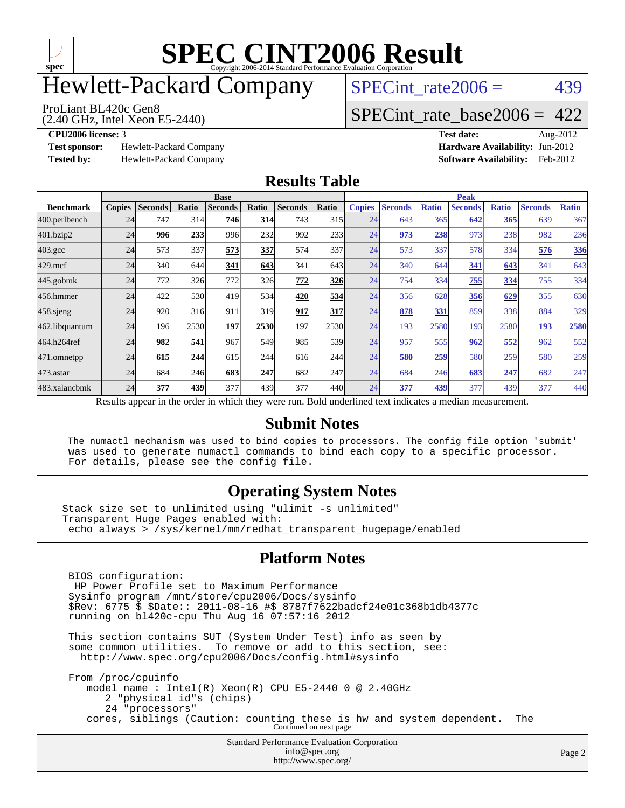

## Hewlett-Packard Company

ProLiant BL420c Gen8

 $SPECTnt_rate2006 = 439$ 

#### (2.40 GHz, Intel Xeon E5-2440) [SPECint\\_rate\\_base2006 =](http://www.spec.org/auto/cpu2006/Docs/result-fields.html#SPECintratebase2006) 422

**[Test sponsor:](http://www.spec.org/auto/cpu2006/Docs/result-fields.html#Testsponsor)** Hewlett-Packard Company **[Hardware Availability:](http://www.spec.org/auto/cpu2006/Docs/result-fields.html#HardwareAvailability)** Jun-2012

**[CPU2006 license:](http://www.spec.org/auto/cpu2006/Docs/result-fields.html#CPU2006license)** 3 **[Test date:](http://www.spec.org/auto/cpu2006/Docs/result-fields.html#Testdate)** Aug-2012 **[Tested by:](http://www.spec.org/auto/cpu2006/Docs/result-fields.html#Testedby)** Hewlett-Packard Company **[Software Availability:](http://www.spec.org/auto/cpu2006/Docs/result-fields.html#SoftwareAvailability)** Feb-2012

#### **[Results Table](http://www.spec.org/auto/cpu2006/Docs/result-fields.html#ResultsTable)**

|                                                                                                          | <b>Base</b>   |                |              |                |       |                | <b>Peak</b> |               |                |              |                |              |                |              |
|----------------------------------------------------------------------------------------------------------|---------------|----------------|--------------|----------------|-------|----------------|-------------|---------------|----------------|--------------|----------------|--------------|----------------|--------------|
| <b>Benchmark</b>                                                                                         | <b>Copies</b> | <b>Seconds</b> | <b>Ratio</b> | <b>Seconds</b> | Ratio | <b>Seconds</b> | Ratio       | <b>Copies</b> | <b>Seconds</b> | <b>Ratio</b> | <b>Seconds</b> | <b>Ratio</b> | <b>Seconds</b> | <b>Ratio</b> |
| 400.perlbench                                                                                            | 24            | 747            | 314          | 746            | 314   | 743            | 315         | 24            | 643            | 365          | 642            | 365          | 639            | 367          |
| 401.bzip2                                                                                                | 24            | 996            | 233          | 996            | 232   | 992            | 233         | 24            | 973            | 238          | 973            | 238          | 982            | 236          |
| $403.\mathrm{gcc}$                                                                                       | 24            | 573            | 337          | 573            | 337   | 574            | 337l        | 24            | 573            | 337          | 578            | 334          | 576            | 336          |
| $429$ .mcf                                                                                               | 24            | 340            | 644          | 341            | 643   | 341            | 643         | 24            | 340            | 644          | 341            | 643          | 341            | 643          |
| $445$ .gobmk                                                                                             | 24            | 772            | 326          | 772            | 326   | 772            | <u>326</u>  | 24            | 754            | 334          | 755            | 334          | 755            | 334          |
| 456.hmmer                                                                                                | 24            | 422            | 530          | 419            | 534   | 420            | 534         | 24            | 356            | 628          | 356            | 629          | 355            | 630          |
| $458$ .sjeng                                                                                             | 24            | 920            | 316          | 911            | 319   | 917            | 317         | 24            | 878            | 331          | 859            | 338          | 884            | 329          |
| 462.libquantum                                                                                           | 24            | 196            | 2530         | 197            | 2530  | 197            | 2530        | 24            | 193            | 2580         | 193            | 2580         | 193            | 2580         |
| 464.h264ref                                                                                              | 24            | 982            | 541          | 967            | 549   | 985            | 539         | 24            | 957            | 555          | 962            | 552          | 962            | 552          |
| 471.omnetpp                                                                                              | 24            | 615            | 244          | 615            | 244   | 616            | 244         | 24            | 580            | 259          | 580            | 259          | 580            | 259          |
| $473$ . astar                                                                                            | 24            | 684            | 246          | 683            | 247   | 682            | 247         | 24            | 684            | 246          | 683            | 247          | 682            | 247          |
| 483.xalancbmk                                                                                            | 24            | 377            | 439          | 377            | 439   | 377            | 440         | 24            | 377            | 439          | 377            | 439          | 377            | 440          |
| Results appear in the order in which they were run. Bold underlined text indicates a median measurement. |               |                |              |                |       |                |             |               |                |              |                |              |                |              |

#### **[Submit Notes](http://www.spec.org/auto/cpu2006/Docs/result-fields.html#SubmitNotes)**

 The numactl mechanism was used to bind copies to processors. The config file option 'submit' was used to generate numactl commands to bind each copy to a specific processor. For details, please see the config file.

#### **[Operating System Notes](http://www.spec.org/auto/cpu2006/Docs/result-fields.html#OperatingSystemNotes)**

Stack size set to unlimited using "ulimit -s unlimited" Transparent Huge Pages enabled with: echo always > /sys/kernel/mm/redhat\_transparent\_hugepage/enabled

#### **[Platform Notes](http://www.spec.org/auto/cpu2006/Docs/result-fields.html#PlatformNotes)**

Standard Performance Evaluation Corporation [info@spec.org](mailto:info@spec.org) BIOS configuration: HP Power Profile set to Maximum Performance Sysinfo program /mnt/store/cpu2006/Docs/sysinfo \$Rev: 6775 \$ \$Date:: 2011-08-16 #\$ 8787f7622badcf24e01c368b1db4377c running on bl420c-cpu Thu Aug 16 07:57:16 2012 This section contains SUT (System Under Test) info as seen by some common utilities. To remove or add to this section, see: <http://www.spec.org/cpu2006/Docs/config.html#sysinfo> From /proc/cpuinfo model name : Intel(R) Xeon(R) CPU E5-2440 0 @ 2.40GHz 2 "physical id"s (chips) 24 "processors" cores, siblings (Caution: counting these is hw and system dependent. The Continued on next page

<http://www.spec.org/>

Page 2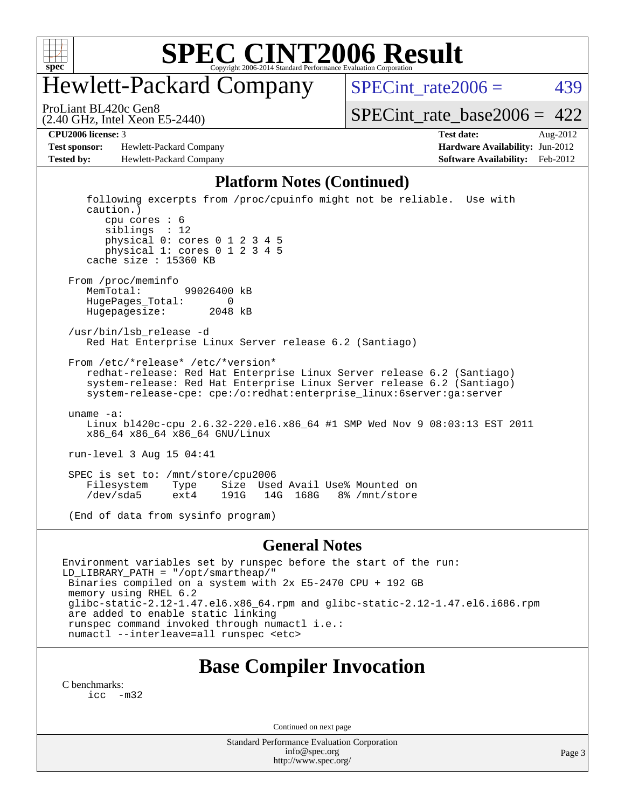

## Hewlett-Packard Company

 $SPECTnt_rate2006 = 439$ 

(2.40 GHz, Intel Xeon E5-2440) ProLiant BL420c Gen8

[SPECint\\_rate\\_base2006 =](http://www.spec.org/auto/cpu2006/Docs/result-fields.html#SPECintratebase2006)  $422$ 

**[Test sponsor:](http://www.spec.org/auto/cpu2006/Docs/result-fields.html#Testsponsor)** Hewlett-Packard Company **[Hardware Availability:](http://www.spec.org/auto/cpu2006/Docs/result-fields.html#HardwareAvailability)** Jun-2012 **[Tested by:](http://www.spec.org/auto/cpu2006/Docs/result-fields.html#Testedby)** Hewlett-Packard Company **[Software Availability:](http://www.spec.org/auto/cpu2006/Docs/result-fields.html#SoftwareAvailability)** Feb-2012

**[CPU2006 license:](http://www.spec.org/auto/cpu2006/Docs/result-fields.html#CPU2006license)** 3 **[Test date:](http://www.spec.org/auto/cpu2006/Docs/result-fields.html#Testdate)** Aug-2012

#### **[Platform Notes \(Continued\)](http://www.spec.org/auto/cpu2006/Docs/result-fields.html#PlatformNotes)**

 following excerpts from /proc/cpuinfo might not be reliable. Use with caution.) cpu cores : 6 siblings : 12 physical 0: cores 0 1 2 3 4 5 physical 1: cores 0 1 2 3 4 5 cache size : 15360 KB From /proc/meminfo MemTotal: 99026400 kB HugePages\_Total: 0 Hugepagesize: 2048 kB /usr/bin/lsb\_release -d Red Hat Enterprise Linux Server release 6.2 (Santiago) From /etc/\*release\* /etc/\*version\* redhat-release: Red Hat Enterprise Linux Server release 6.2 (Santiago) system-release: Red Hat Enterprise Linux Server release 6.2 (Santiago) system-release-cpe: cpe:/o:redhat:enterprise\_linux:6server:ga:server uname -a: Linux bl420c-cpu 2.6.32-220.el6.x86\_64 #1 SMP Wed Nov 9 08:03:13 EST 2011 x86\_64 x86\_64 x86\_64 GNU/Linux run-level 3 Aug 15 04:41 SPEC is set to: /mnt/store/cpu2006<br>Filesystem Type Size Use Type Size Used Avail Use% Mounted on<br>ext4 191G 14G 168G 8% /mnt/store /dev/sda5 ext4 191G 14G 168G 8% /mnt/store (End of data from sysinfo program)

#### **[General Notes](http://www.spec.org/auto/cpu2006/Docs/result-fields.html#GeneralNotes)**

Environment variables set by runspec before the start of the run: LD\_LIBRARY\_PATH = "/opt/smartheap/" Binaries compiled on a system with 2x E5-2470 CPU + 192 GB memory using RHEL 6.2 glibc-static-2.12-1.47.el6.x86\_64.rpm and glibc-static-2.12-1.47.el6.i686.rpm are added to enable static linking runspec command invoked through numactl i.e.: numactl --interleave=all runspec <etc>

#### **[Base Compiler Invocation](http://www.spec.org/auto/cpu2006/Docs/result-fields.html#BaseCompilerInvocation)**

[C benchmarks](http://www.spec.org/auto/cpu2006/Docs/result-fields.html#Cbenchmarks): [icc -m32](http://www.spec.org/cpu2006/results/res2012q3/cpu2006-20120911-24450.flags.html#user_CCbase_intel_icc_5ff4a39e364c98233615fdd38438c6f2)

Continued on next page

Standard Performance Evaluation Corporation [info@spec.org](mailto:info@spec.org) <http://www.spec.org/>

Page 3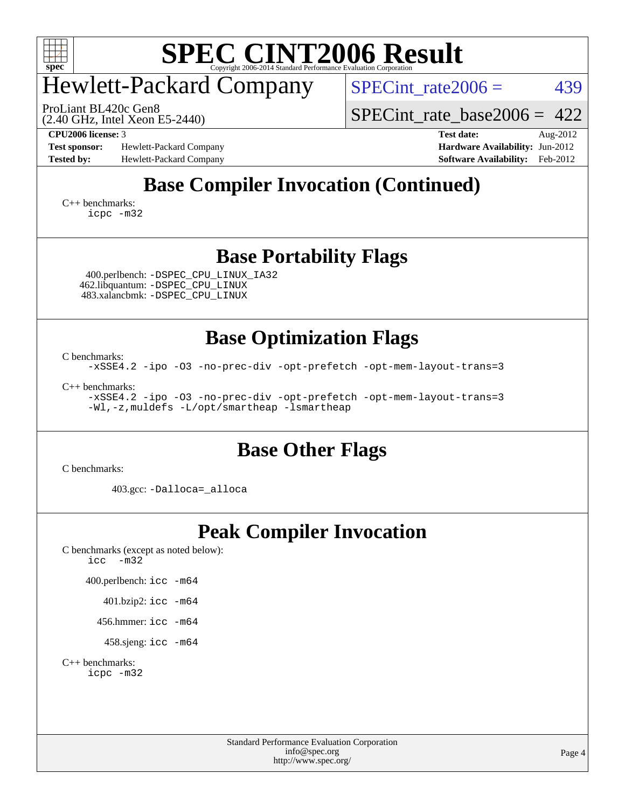

### Hewlett-Packard Company

SPECint rate $2006 = 439$ 

(2.40 GHz, Intel Xeon E5-2440) ProLiant BL420c Gen8

[SPECint\\_rate\\_base2006 =](http://www.spec.org/auto/cpu2006/Docs/result-fields.html#SPECintratebase2006) 422

**[Test sponsor:](http://www.spec.org/auto/cpu2006/Docs/result-fields.html#Testsponsor)** Hewlett-Packard Company **[Hardware Availability:](http://www.spec.org/auto/cpu2006/Docs/result-fields.html#HardwareAvailability)** Jun-2012 **[Tested by:](http://www.spec.org/auto/cpu2006/Docs/result-fields.html#Testedby)** Hewlett-Packard Company **[Software Availability:](http://www.spec.org/auto/cpu2006/Docs/result-fields.html#SoftwareAvailability)** Feb-2012

**[CPU2006 license:](http://www.spec.org/auto/cpu2006/Docs/result-fields.html#CPU2006license)** 3 **[Test date:](http://www.spec.org/auto/cpu2006/Docs/result-fields.html#Testdate)** Aug-2012

### **[Base Compiler Invocation \(Continued\)](http://www.spec.org/auto/cpu2006/Docs/result-fields.html#BaseCompilerInvocation)**

[C++ benchmarks:](http://www.spec.org/auto/cpu2006/Docs/result-fields.html#CXXbenchmarks) [icpc -m32](http://www.spec.org/cpu2006/results/res2012q3/cpu2006-20120911-24450.flags.html#user_CXXbase_intel_icpc_4e5a5ef1a53fd332b3c49e69c3330699)

#### **[Base Portability Flags](http://www.spec.org/auto/cpu2006/Docs/result-fields.html#BasePortabilityFlags)**

 400.perlbench: [-DSPEC\\_CPU\\_LINUX\\_IA32](http://www.spec.org/cpu2006/results/res2012q3/cpu2006-20120911-24450.flags.html#b400.perlbench_baseCPORTABILITY_DSPEC_CPU_LINUX_IA32) 462.libquantum: [-DSPEC\\_CPU\\_LINUX](http://www.spec.org/cpu2006/results/res2012q3/cpu2006-20120911-24450.flags.html#b462.libquantum_baseCPORTABILITY_DSPEC_CPU_LINUX) 483.xalancbmk: [-DSPEC\\_CPU\\_LINUX](http://www.spec.org/cpu2006/results/res2012q3/cpu2006-20120911-24450.flags.html#b483.xalancbmk_baseCXXPORTABILITY_DSPEC_CPU_LINUX)

**[Base Optimization Flags](http://www.spec.org/auto/cpu2006/Docs/result-fields.html#BaseOptimizationFlags)**

[C benchmarks](http://www.spec.org/auto/cpu2006/Docs/result-fields.html#Cbenchmarks):

[-xSSE4.2](http://www.spec.org/cpu2006/results/res2012q3/cpu2006-20120911-24450.flags.html#user_CCbase_f-xSSE42_f91528193cf0b216347adb8b939d4107) [-ipo](http://www.spec.org/cpu2006/results/res2012q3/cpu2006-20120911-24450.flags.html#user_CCbase_f-ipo) [-O3](http://www.spec.org/cpu2006/results/res2012q3/cpu2006-20120911-24450.flags.html#user_CCbase_f-O3) [-no-prec-div](http://www.spec.org/cpu2006/results/res2012q3/cpu2006-20120911-24450.flags.html#user_CCbase_f-no-prec-div) [-opt-prefetch](http://www.spec.org/cpu2006/results/res2012q3/cpu2006-20120911-24450.flags.html#user_CCbase_f-opt-prefetch) [-opt-mem-layout-trans=3](http://www.spec.org/cpu2006/results/res2012q3/cpu2006-20120911-24450.flags.html#user_CCbase_f-opt-mem-layout-trans_a7b82ad4bd7abf52556d4961a2ae94d5)

[C++ benchmarks:](http://www.spec.org/auto/cpu2006/Docs/result-fields.html#CXXbenchmarks)

[-xSSE4.2](http://www.spec.org/cpu2006/results/res2012q3/cpu2006-20120911-24450.flags.html#user_CXXbase_f-xSSE42_f91528193cf0b216347adb8b939d4107) [-ipo](http://www.spec.org/cpu2006/results/res2012q3/cpu2006-20120911-24450.flags.html#user_CXXbase_f-ipo) [-O3](http://www.spec.org/cpu2006/results/res2012q3/cpu2006-20120911-24450.flags.html#user_CXXbase_f-O3) [-no-prec-div](http://www.spec.org/cpu2006/results/res2012q3/cpu2006-20120911-24450.flags.html#user_CXXbase_f-no-prec-div) [-opt-prefetch](http://www.spec.org/cpu2006/results/res2012q3/cpu2006-20120911-24450.flags.html#user_CXXbase_f-opt-prefetch) [-opt-mem-layout-trans=3](http://www.spec.org/cpu2006/results/res2012q3/cpu2006-20120911-24450.flags.html#user_CXXbase_f-opt-mem-layout-trans_a7b82ad4bd7abf52556d4961a2ae94d5) [-Wl,-z,muldefs](http://www.spec.org/cpu2006/results/res2012q3/cpu2006-20120911-24450.flags.html#user_CXXbase_link_force_multiple1_74079c344b956b9658436fd1b6dd3a8a) [-L/opt/smartheap -lsmartheap](http://www.spec.org/cpu2006/results/res2012q3/cpu2006-20120911-24450.flags.html#user_CXXbase_SmartHeap_88e827ca57d1225666ab17d9982dab13)

#### **[Base Other Flags](http://www.spec.org/auto/cpu2006/Docs/result-fields.html#BaseOtherFlags)**

[C benchmarks](http://www.spec.org/auto/cpu2006/Docs/result-fields.html#Cbenchmarks):

403.gcc: [-Dalloca=\\_alloca](http://www.spec.org/cpu2006/results/res2012q3/cpu2006-20120911-24450.flags.html#b403.gcc_baseEXTRA_CFLAGS_Dalloca_be3056838c12de2578596ca5467af7f3)

#### **[Peak Compiler Invocation](http://www.spec.org/auto/cpu2006/Docs/result-fields.html#PeakCompilerInvocation)**

[C benchmarks \(except as noted below\)](http://www.spec.org/auto/cpu2006/Docs/result-fields.html#Cbenchmarksexceptasnotedbelow): [icc -m32](http://www.spec.org/cpu2006/results/res2012q3/cpu2006-20120911-24450.flags.html#user_CCpeak_intel_icc_5ff4a39e364c98233615fdd38438c6f2)

400.perlbench: [icc -m64](http://www.spec.org/cpu2006/results/res2012q3/cpu2006-20120911-24450.flags.html#user_peakCCLD400_perlbench_intel_icc_64bit_bda6cc9af1fdbb0edc3795bac97ada53)

401.bzip2: [icc -m64](http://www.spec.org/cpu2006/results/res2012q3/cpu2006-20120911-24450.flags.html#user_peakCCLD401_bzip2_intel_icc_64bit_bda6cc9af1fdbb0edc3795bac97ada53)

456.hmmer: [icc -m64](http://www.spec.org/cpu2006/results/res2012q3/cpu2006-20120911-24450.flags.html#user_peakCCLD456_hmmer_intel_icc_64bit_bda6cc9af1fdbb0edc3795bac97ada53)

458.sjeng: [icc -m64](http://www.spec.org/cpu2006/results/res2012q3/cpu2006-20120911-24450.flags.html#user_peakCCLD458_sjeng_intel_icc_64bit_bda6cc9af1fdbb0edc3795bac97ada53)

[C++ benchmarks:](http://www.spec.org/auto/cpu2006/Docs/result-fields.html#CXXbenchmarks) [icpc -m32](http://www.spec.org/cpu2006/results/res2012q3/cpu2006-20120911-24450.flags.html#user_CXXpeak_intel_icpc_4e5a5ef1a53fd332b3c49e69c3330699)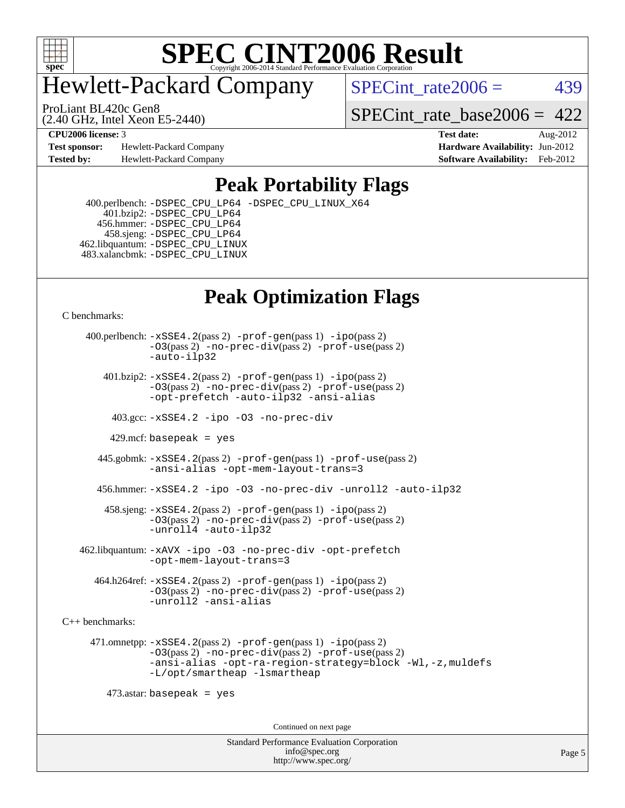

### Hewlett-Packard Company

 $SPECTnt_rate2006 = 439$ 

(2.40 GHz, Intel Xeon E5-2440) ProLiant BL420c Gen8

[SPECint\\_rate\\_base2006 =](http://www.spec.org/auto/cpu2006/Docs/result-fields.html#SPECintratebase2006)  $422$ 

**[Test sponsor:](http://www.spec.org/auto/cpu2006/Docs/result-fields.html#Testsponsor)** Hewlett-Packard Company **[Hardware Availability:](http://www.spec.org/auto/cpu2006/Docs/result-fields.html#HardwareAvailability)** Jun-2012 **[Tested by:](http://www.spec.org/auto/cpu2006/Docs/result-fields.html#Testedby)** Hewlett-Packard Company **[Software Availability:](http://www.spec.org/auto/cpu2006/Docs/result-fields.html#SoftwareAvailability)** Feb-2012

**[CPU2006 license:](http://www.spec.org/auto/cpu2006/Docs/result-fields.html#CPU2006license)** 3 **[Test date:](http://www.spec.org/auto/cpu2006/Docs/result-fields.html#Testdate)** Aug-2012

#### **[Peak Portability Flags](http://www.spec.org/auto/cpu2006/Docs/result-fields.html#PeakPortabilityFlags)**

 400.perlbench: [-DSPEC\\_CPU\\_LP64](http://www.spec.org/cpu2006/results/res2012q3/cpu2006-20120911-24450.flags.html#b400.perlbench_peakCPORTABILITY_DSPEC_CPU_LP64) [-DSPEC\\_CPU\\_LINUX\\_X64](http://www.spec.org/cpu2006/results/res2012q3/cpu2006-20120911-24450.flags.html#b400.perlbench_peakCPORTABILITY_DSPEC_CPU_LINUX_X64) 401.bzip2: [-DSPEC\\_CPU\\_LP64](http://www.spec.org/cpu2006/results/res2012q3/cpu2006-20120911-24450.flags.html#suite_peakCPORTABILITY401_bzip2_DSPEC_CPU_LP64) 456.hmmer: [-DSPEC\\_CPU\\_LP64](http://www.spec.org/cpu2006/results/res2012q3/cpu2006-20120911-24450.flags.html#suite_peakCPORTABILITY456_hmmer_DSPEC_CPU_LP64) 458.sjeng: [-DSPEC\\_CPU\\_LP64](http://www.spec.org/cpu2006/results/res2012q3/cpu2006-20120911-24450.flags.html#suite_peakCPORTABILITY458_sjeng_DSPEC_CPU_LP64) 462.libquantum: [-DSPEC\\_CPU\\_LINUX](http://www.spec.org/cpu2006/results/res2012q3/cpu2006-20120911-24450.flags.html#b462.libquantum_peakCPORTABILITY_DSPEC_CPU_LINUX) 483.xalancbmk: [-DSPEC\\_CPU\\_LINUX](http://www.spec.org/cpu2006/results/res2012q3/cpu2006-20120911-24450.flags.html#b483.xalancbmk_peakCXXPORTABILITY_DSPEC_CPU_LINUX)

### **[Peak Optimization Flags](http://www.spec.org/auto/cpu2006/Docs/result-fields.html#PeakOptimizationFlags)**

[C benchmarks](http://www.spec.org/auto/cpu2006/Docs/result-fields.html#Cbenchmarks):

 400.perlbench: [-xSSE4.2](http://www.spec.org/cpu2006/results/res2012q3/cpu2006-20120911-24450.flags.html#user_peakPASS2_CFLAGSPASS2_LDCFLAGS400_perlbench_f-xSSE42_f91528193cf0b216347adb8b939d4107)(pass 2) [-prof-gen](http://www.spec.org/cpu2006/results/res2012q3/cpu2006-20120911-24450.flags.html#user_peakPASS1_CFLAGSPASS1_LDCFLAGS400_perlbench_prof_gen_e43856698f6ca7b7e442dfd80e94a8fc)(pass 1) [-ipo](http://www.spec.org/cpu2006/results/res2012q3/cpu2006-20120911-24450.flags.html#user_peakPASS2_CFLAGSPASS2_LDCFLAGS400_perlbench_f-ipo)(pass 2) [-O3](http://www.spec.org/cpu2006/results/res2012q3/cpu2006-20120911-24450.flags.html#user_peakPASS2_CFLAGSPASS2_LDCFLAGS400_perlbench_f-O3)(pass 2) [-no-prec-div](http://www.spec.org/cpu2006/results/res2012q3/cpu2006-20120911-24450.flags.html#user_peakPASS2_CFLAGSPASS2_LDCFLAGS400_perlbench_f-no-prec-div)(pass 2) [-prof-use](http://www.spec.org/cpu2006/results/res2012q3/cpu2006-20120911-24450.flags.html#user_peakPASS2_CFLAGSPASS2_LDCFLAGS400_perlbench_prof_use_bccf7792157ff70d64e32fe3e1250b55)(pass 2) [-auto-ilp32](http://www.spec.org/cpu2006/results/res2012q3/cpu2006-20120911-24450.flags.html#user_peakCOPTIMIZE400_perlbench_f-auto-ilp32)  $401.bzip2: -xSSE4.2(pass 2) -prof-qen(pass 1) -ipo(pass 2)$  $401.bzip2: -xSSE4.2(pass 2) -prof-qen(pass 1) -ipo(pass 2)$  $401.bzip2: -xSSE4.2(pass 2) -prof-qen(pass 1) -ipo(pass 2)$  $401.bzip2: -xSSE4.2(pass 2) -prof-qen(pass 1) -ipo(pass 2)$  $401.bzip2: -xSSE4.2(pass 2) -prof-qen(pass 1) -ipo(pass 2)$ [-O3](http://www.spec.org/cpu2006/results/res2012q3/cpu2006-20120911-24450.flags.html#user_peakPASS2_CFLAGSPASS2_LDCFLAGS401_bzip2_f-O3)(pass 2) [-no-prec-div](http://www.spec.org/cpu2006/results/res2012q3/cpu2006-20120911-24450.flags.html#user_peakPASS2_CFLAGSPASS2_LDCFLAGS401_bzip2_f-no-prec-div)(pass 2) [-prof-use](http://www.spec.org/cpu2006/results/res2012q3/cpu2006-20120911-24450.flags.html#user_peakPASS2_CFLAGSPASS2_LDCFLAGS401_bzip2_prof_use_bccf7792157ff70d64e32fe3e1250b55)(pass 2) [-opt-prefetch](http://www.spec.org/cpu2006/results/res2012q3/cpu2006-20120911-24450.flags.html#user_peakCOPTIMIZE401_bzip2_f-opt-prefetch) [-auto-ilp32](http://www.spec.org/cpu2006/results/res2012q3/cpu2006-20120911-24450.flags.html#user_peakCOPTIMIZE401_bzip2_f-auto-ilp32) [-ansi-alias](http://www.spec.org/cpu2006/results/res2012q3/cpu2006-20120911-24450.flags.html#user_peakCOPTIMIZE401_bzip2_f-ansi-alias) 403.gcc: [-xSSE4.2](http://www.spec.org/cpu2006/results/res2012q3/cpu2006-20120911-24450.flags.html#user_peakCOPTIMIZE403_gcc_f-xSSE42_f91528193cf0b216347adb8b939d4107) [-ipo](http://www.spec.org/cpu2006/results/res2012q3/cpu2006-20120911-24450.flags.html#user_peakCOPTIMIZE403_gcc_f-ipo) [-O3](http://www.spec.org/cpu2006/results/res2012q3/cpu2006-20120911-24450.flags.html#user_peakCOPTIMIZE403_gcc_f-O3) [-no-prec-div](http://www.spec.org/cpu2006/results/res2012q3/cpu2006-20120911-24450.flags.html#user_peakCOPTIMIZE403_gcc_f-no-prec-div) 429.mcf: basepeak = yes 445.gobmk: [-xSSE4.2](http://www.spec.org/cpu2006/results/res2012q3/cpu2006-20120911-24450.flags.html#user_peakPASS2_CFLAGSPASS2_LDCFLAGS445_gobmk_f-xSSE42_f91528193cf0b216347adb8b939d4107)(pass 2) [-prof-gen](http://www.spec.org/cpu2006/results/res2012q3/cpu2006-20120911-24450.flags.html#user_peakPASS1_CFLAGSPASS1_LDCFLAGS445_gobmk_prof_gen_e43856698f6ca7b7e442dfd80e94a8fc)(pass 1) [-prof-use](http://www.spec.org/cpu2006/results/res2012q3/cpu2006-20120911-24450.flags.html#user_peakPASS2_CFLAGSPASS2_LDCFLAGS445_gobmk_prof_use_bccf7792157ff70d64e32fe3e1250b55)(pass 2) [-ansi-alias](http://www.spec.org/cpu2006/results/res2012q3/cpu2006-20120911-24450.flags.html#user_peakCOPTIMIZE445_gobmk_f-ansi-alias) [-opt-mem-layout-trans=3](http://www.spec.org/cpu2006/results/res2012q3/cpu2006-20120911-24450.flags.html#user_peakCOPTIMIZE445_gobmk_f-opt-mem-layout-trans_a7b82ad4bd7abf52556d4961a2ae94d5) 456.hmmer: [-xSSE4.2](http://www.spec.org/cpu2006/results/res2012q3/cpu2006-20120911-24450.flags.html#user_peakCOPTIMIZE456_hmmer_f-xSSE42_f91528193cf0b216347adb8b939d4107) [-ipo](http://www.spec.org/cpu2006/results/res2012q3/cpu2006-20120911-24450.flags.html#user_peakCOPTIMIZE456_hmmer_f-ipo) [-O3](http://www.spec.org/cpu2006/results/res2012q3/cpu2006-20120911-24450.flags.html#user_peakCOPTIMIZE456_hmmer_f-O3) [-no-prec-div](http://www.spec.org/cpu2006/results/res2012q3/cpu2006-20120911-24450.flags.html#user_peakCOPTIMIZE456_hmmer_f-no-prec-div) [-unroll2](http://www.spec.org/cpu2006/results/res2012q3/cpu2006-20120911-24450.flags.html#user_peakCOPTIMIZE456_hmmer_f-unroll_784dae83bebfb236979b41d2422d7ec2) [-auto-ilp32](http://www.spec.org/cpu2006/results/res2012q3/cpu2006-20120911-24450.flags.html#user_peakCOPTIMIZE456_hmmer_f-auto-ilp32) 458.sjeng: [-xSSE4.2](http://www.spec.org/cpu2006/results/res2012q3/cpu2006-20120911-24450.flags.html#user_peakPASS2_CFLAGSPASS2_LDCFLAGS458_sjeng_f-xSSE42_f91528193cf0b216347adb8b939d4107)(pass 2) [-prof-gen](http://www.spec.org/cpu2006/results/res2012q3/cpu2006-20120911-24450.flags.html#user_peakPASS1_CFLAGSPASS1_LDCFLAGS458_sjeng_prof_gen_e43856698f6ca7b7e442dfd80e94a8fc)(pass 1) [-ipo](http://www.spec.org/cpu2006/results/res2012q3/cpu2006-20120911-24450.flags.html#user_peakPASS2_CFLAGSPASS2_LDCFLAGS458_sjeng_f-ipo)(pass 2) [-O3](http://www.spec.org/cpu2006/results/res2012q3/cpu2006-20120911-24450.flags.html#user_peakPASS2_CFLAGSPASS2_LDCFLAGS458_sjeng_f-O3)(pass 2) [-no-prec-div](http://www.spec.org/cpu2006/results/res2012q3/cpu2006-20120911-24450.flags.html#user_peakPASS2_CFLAGSPASS2_LDCFLAGS458_sjeng_f-no-prec-div)(pass 2) [-prof-use](http://www.spec.org/cpu2006/results/res2012q3/cpu2006-20120911-24450.flags.html#user_peakPASS2_CFLAGSPASS2_LDCFLAGS458_sjeng_prof_use_bccf7792157ff70d64e32fe3e1250b55)(pass 2) [-unroll4](http://www.spec.org/cpu2006/results/res2012q3/cpu2006-20120911-24450.flags.html#user_peakCOPTIMIZE458_sjeng_f-unroll_4e5e4ed65b7fd20bdcd365bec371b81f) [-auto-ilp32](http://www.spec.org/cpu2006/results/res2012q3/cpu2006-20120911-24450.flags.html#user_peakCOPTIMIZE458_sjeng_f-auto-ilp32) 462.libquantum: [-xAVX](http://www.spec.org/cpu2006/results/res2012q3/cpu2006-20120911-24450.flags.html#user_peakCOPTIMIZE462_libquantum_f-xAVX) [-ipo](http://www.spec.org/cpu2006/results/res2012q3/cpu2006-20120911-24450.flags.html#user_peakCOPTIMIZE462_libquantum_f-ipo) [-O3](http://www.spec.org/cpu2006/results/res2012q3/cpu2006-20120911-24450.flags.html#user_peakCOPTIMIZE462_libquantum_f-O3) [-no-prec-div](http://www.spec.org/cpu2006/results/res2012q3/cpu2006-20120911-24450.flags.html#user_peakCOPTIMIZE462_libquantum_f-no-prec-div) [-opt-prefetch](http://www.spec.org/cpu2006/results/res2012q3/cpu2006-20120911-24450.flags.html#user_peakCOPTIMIZE462_libquantum_f-opt-prefetch) [-opt-mem-layout-trans=3](http://www.spec.org/cpu2006/results/res2012q3/cpu2006-20120911-24450.flags.html#user_peakCOPTIMIZE462_libquantum_f-opt-mem-layout-trans_a7b82ad4bd7abf52556d4961a2ae94d5) 464.h264ref: [-xSSE4.2](http://www.spec.org/cpu2006/results/res2012q3/cpu2006-20120911-24450.flags.html#user_peakPASS2_CFLAGSPASS2_LDCFLAGS464_h264ref_f-xSSE42_f91528193cf0b216347adb8b939d4107)(pass 2) [-prof-gen](http://www.spec.org/cpu2006/results/res2012q3/cpu2006-20120911-24450.flags.html#user_peakPASS1_CFLAGSPASS1_LDCFLAGS464_h264ref_prof_gen_e43856698f6ca7b7e442dfd80e94a8fc)(pass 1) [-ipo](http://www.spec.org/cpu2006/results/res2012q3/cpu2006-20120911-24450.flags.html#user_peakPASS2_CFLAGSPASS2_LDCFLAGS464_h264ref_f-ipo)(pass 2) [-O3](http://www.spec.org/cpu2006/results/res2012q3/cpu2006-20120911-24450.flags.html#user_peakPASS2_CFLAGSPASS2_LDCFLAGS464_h264ref_f-O3)(pass 2) [-no-prec-div](http://www.spec.org/cpu2006/results/res2012q3/cpu2006-20120911-24450.flags.html#user_peakPASS2_CFLAGSPASS2_LDCFLAGS464_h264ref_f-no-prec-div)(pass 2) [-prof-use](http://www.spec.org/cpu2006/results/res2012q3/cpu2006-20120911-24450.flags.html#user_peakPASS2_CFLAGSPASS2_LDCFLAGS464_h264ref_prof_use_bccf7792157ff70d64e32fe3e1250b55)(pass 2) [-unroll2](http://www.spec.org/cpu2006/results/res2012q3/cpu2006-20120911-24450.flags.html#user_peakCOPTIMIZE464_h264ref_f-unroll_784dae83bebfb236979b41d2422d7ec2) [-ansi-alias](http://www.spec.org/cpu2006/results/res2012q3/cpu2006-20120911-24450.flags.html#user_peakCOPTIMIZE464_h264ref_f-ansi-alias) [C++ benchmarks:](http://www.spec.org/auto/cpu2006/Docs/result-fields.html#CXXbenchmarks) 471.omnetpp: [-xSSE4.2](http://www.spec.org/cpu2006/results/res2012q3/cpu2006-20120911-24450.flags.html#user_peakPASS2_CXXFLAGSPASS2_LDCXXFLAGS471_omnetpp_f-xSSE42_f91528193cf0b216347adb8b939d4107)(pass 2) [-prof-gen](http://www.spec.org/cpu2006/results/res2012q3/cpu2006-20120911-24450.flags.html#user_peakPASS1_CXXFLAGSPASS1_LDCXXFLAGS471_omnetpp_prof_gen_e43856698f6ca7b7e442dfd80e94a8fc)(pass 1) [-ipo](http://www.spec.org/cpu2006/results/res2012q3/cpu2006-20120911-24450.flags.html#user_peakPASS2_CXXFLAGSPASS2_LDCXXFLAGS471_omnetpp_f-ipo)(pass 2) [-O3](http://www.spec.org/cpu2006/results/res2012q3/cpu2006-20120911-24450.flags.html#user_peakPASS2_CXXFLAGSPASS2_LDCXXFLAGS471_omnetpp_f-O3)(pass 2) [-no-prec-div](http://www.spec.org/cpu2006/results/res2012q3/cpu2006-20120911-24450.flags.html#user_peakPASS2_CXXFLAGSPASS2_LDCXXFLAGS471_omnetpp_f-no-prec-div)(pass 2) [-prof-use](http://www.spec.org/cpu2006/results/res2012q3/cpu2006-20120911-24450.flags.html#user_peakPASS2_CXXFLAGSPASS2_LDCXXFLAGS471_omnetpp_prof_use_bccf7792157ff70d64e32fe3e1250b55)(pass 2) [-ansi-alias](http://www.spec.org/cpu2006/results/res2012q3/cpu2006-20120911-24450.flags.html#user_peakCXXOPTIMIZE471_omnetpp_f-ansi-alias) [-opt-ra-region-strategy=block](http://www.spec.org/cpu2006/results/res2012q3/cpu2006-20120911-24450.flags.html#user_peakCXXOPTIMIZE471_omnetpp_f-opt-ra-region-strategy_a0a37c372d03933b2a18d4af463c1f69) [-Wl,-z,muldefs](http://www.spec.org/cpu2006/results/res2012q3/cpu2006-20120911-24450.flags.html#user_peakEXTRA_LDFLAGS471_omnetpp_link_force_multiple1_74079c344b956b9658436fd1b6dd3a8a) [-L/opt/smartheap -lsmartheap](http://www.spec.org/cpu2006/results/res2012q3/cpu2006-20120911-24450.flags.html#user_peakEXTRA_LIBS471_omnetpp_SmartHeap_88e827ca57d1225666ab17d9982dab13)  $473$ .astar: basepeak = yes Continued on next page

> Standard Performance Evaluation Corporation [info@spec.org](mailto:info@spec.org) <http://www.spec.org/>